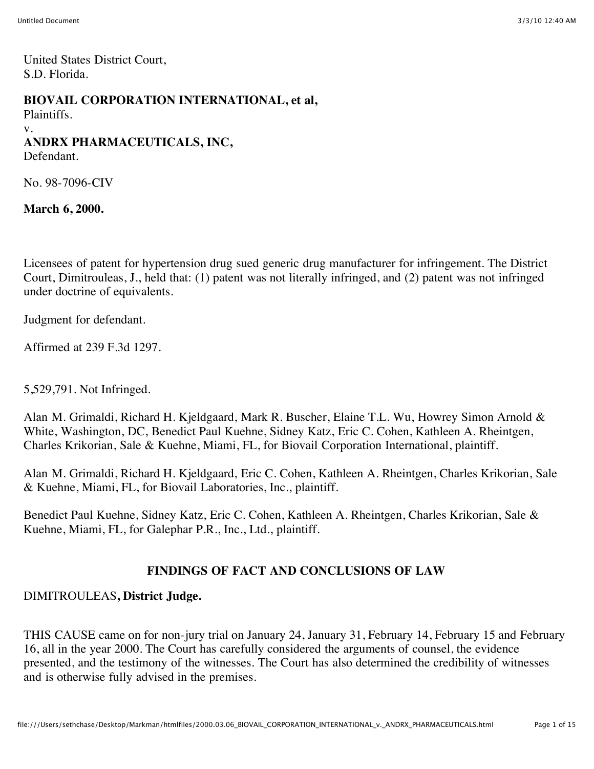United States District Court, S.D. Florida.

#### **BIOVAIL CORPORATION INTERNATIONAL, et al,**

Plaintiffs.

#### v.

# **ANDRX PHARMACEUTICALS, INC,**

Defendant.

No. 98-7096-CIV

**March 6, 2000.**

Licensees of patent for hypertension drug sued generic drug manufacturer for infringement. The District Court, Dimitrouleas, J., held that: (1) patent was not literally infringed, and (2) patent was not infringed under doctrine of equivalents.

Judgment for defendant.

Affirmed at 239 F.3d 1297.

5,529,791. Not Infringed.

Alan M. Grimaldi, Richard H. Kjeldgaard, Mark R. Buscher, Elaine T.L. Wu, Howrey Simon Arnold & White, Washington, DC, Benedict Paul Kuehne, Sidney Katz, Eric C. Cohen, Kathleen A. Rheintgen, Charles Krikorian, Sale & Kuehne, Miami, FL, for Biovail Corporation International, plaintiff.

Alan M. Grimaldi, Richard H. Kjeldgaard, Eric C. Cohen, Kathleen A. Rheintgen, Charles Krikorian, Sale & Kuehne, Miami, FL, for Biovail Laboratories, Inc., plaintiff.

Benedict Paul Kuehne, Sidney Katz, Eric C. Cohen, Kathleen A. Rheintgen, Charles Krikorian, Sale & Kuehne, Miami, FL, for Galephar P.R., Inc., Ltd., plaintiff.

#### **FINDINGS OF FACT AND CONCLUSIONS OF LAW**

#### DIMITROULEAS**, District Judge.**

THIS CAUSE came on for non-jury trial on January 24, January 31, February 14, February 15 and February 16, all in the year 2000. The Court has carefully considered the arguments of counsel, the evidence presented, and the testimony of the witnesses. The Court has also determined the credibility of witnesses and is otherwise fully advised in the premises.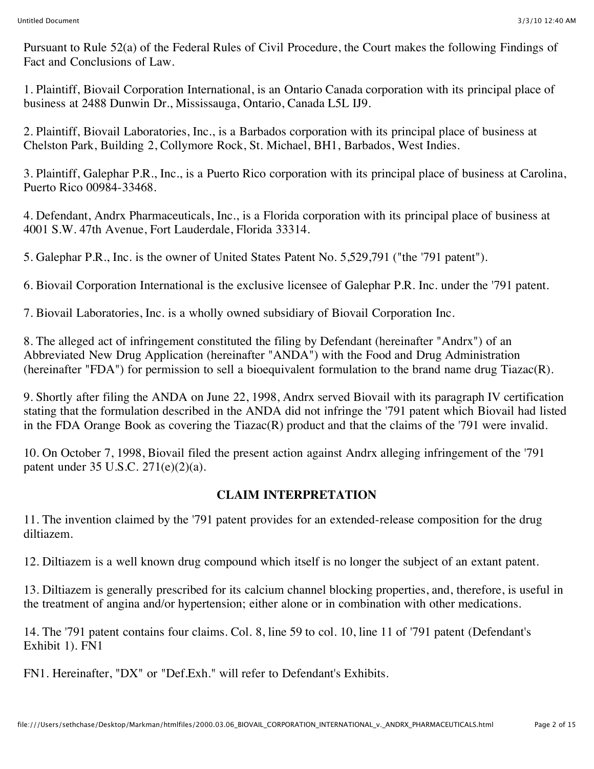Pursuant to Rule 52(a) of the Federal Rules of Civil Procedure, the Court makes the following Findings of Fact and Conclusions of Law.

1. Plaintiff, Biovail Corporation International, is an Ontario Canada corporation with its principal place of business at 2488 Dunwin Dr., Mississauga, Ontario, Canada L5L IJ9.

2. Plaintiff, Biovail Laboratories, Inc., is a Barbados corporation with its principal place of business at Chelston Park, Building 2, Collymore Rock, St. Michael, BH1, Barbados, West Indies.

3. Plaintiff, Galephar P.R., Inc., is a Puerto Rico corporation with its principal place of business at Carolina, Puerto Rico 00984-33468.

4. Defendant, Andrx Pharmaceuticals, Inc., is a Florida corporation with its principal place of business at 4001 S.W. 47th Avenue, Fort Lauderdale, Florida 33314.

5. Galephar P.R., Inc. is the owner of United States Patent No. 5,529,791 ("the '791 patent").

6. Biovail Corporation International is the exclusive licensee of Galephar P.R. Inc. under the '791 patent.

7. Biovail Laboratories, Inc. is a wholly owned subsidiary of Biovail Corporation Inc.

8. The alleged act of infringement constituted the filing by Defendant (hereinafter "Andrx") of an Abbreviated New Drug Application (hereinafter "ANDA") with the Food and Drug Administration (hereinafter "FDA") for permission to sell a bioequivalent formulation to the brand name drug Tiazac(R).

9. Shortly after filing the ANDA on June 22, 1998, Andrx served Biovail with its paragraph IV certification stating that the formulation described in the ANDA did not infringe the '791 patent which Biovail had listed in the FDA Orange Book as covering the Tiazac(R) product and that the claims of the '791 were invalid.

10. On October 7, 1998, Biovail filed the present action against Andrx alleging infringement of the '791 patent under 35 U.S.C. 271(e)(2)(a).

# **CLAIM INTERPRETATION**

11. The invention claimed by the '791 patent provides for an extended-release composition for the drug diltiazem.

12. Diltiazem is a well known drug compound which itself is no longer the subject of an extant patent.

13. Diltiazem is generally prescribed for its calcium channel blocking properties, and, therefore, is useful in the treatment of angina and/or hypertension; either alone or in combination with other medications.

14. The '791 patent contains four claims. Col. 8, line 59 to col. 10, line 11 of '791 patent (Defendant's Exhibit 1). FN1

FN1. Hereinafter, "DX" or "Def.Exh." will refer to Defendant's Exhibits.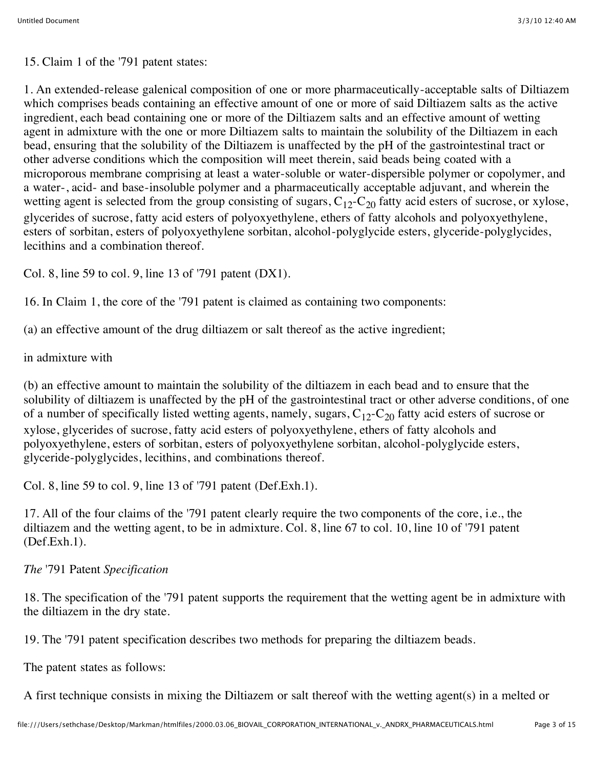15. Claim 1 of the '791 patent states:

1. An extended-release galenical composition of one or more pharmaceutically-acceptable salts of Diltiazem which comprises beads containing an effective amount of one or more of said Diltiazem salts as the active ingredient, each bead containing one or more of the Diltiazem salts and an effective amount of wetting agent in admixture with the one or more Diltiazem salts to maintain the solubility of the Diltiazem in each bead, ensuring that the solubility of the Diltiazem is unaffected by the pH of the gastrointestinal tract or other adverse conditions which the composition will meet therein, said beads being coated with a microporous membrane comprising at least a water-soluble or water-dispersible polymer or copolymer, and a water-, acid- and base-insoluble polymer and a pharmaceutically acceptable adjuvant, and wherein the wetting agent is selected from the group consisting of sugars,  $C_{12}$ - $C_{20}$  fatty acid esters of sucrose, or xylose, glycerides of sucrose, fatty acid esters of polyoxyethylene, ethers of fatty alcohols and polyoxyethylene, esters of sorbitan, esters of polyoxyethylene sorbitan, alcohol-polyglycide esters, glyceride-polyglycides, lecithins and a combination thereof.

Col. 8, line 59 to col. 9, line 13 of '791 patent (DX1).

16. In Claim 1, the core of the '791 patent is claimed as containing two components:

(a) an effective amount of the drug diltiazem or salt thereof as the active ingredient;

in admixture with

(b) an effective amount to maintain the solubility of the diltiazem in each bead and to ensure that the solubility of diltiazem is unaffected by the pH of the gastrointestinal tract or other adverse conditions, of one of a number of specifically listed wetting agents, namely, sugars,  $C_{12}$ - $C_{20}$  fatty acid esters of sucrose or xylose, glycerides of sucrose, fatty acid esters of polyoxyethylene, ethers of fatty alcohols and polyoxyethylene, esters of sorbitan, esters of polyoxyethylene sorbitan, alcohol-polyglycide esters, glyceride-polyglycides, lecithins, and combinations thereof.

Col. 8, line 59 to col. 9, line 13 of '791 patent (Def.Exh.1).

17. All of the four claims of the '791 patent clearly require the two components of the core, i.e., the diltiazem and the wetting agent, to be in admixture. Col. 8, line 67 to col. 10, line 10 of '791 patent (Def.Exh.1).

*The* '791 Patent *Specification*

18. The specification of the '791 patent supports the requirement that the wetting agent be in admixture with the diltiazem in the dry state.

19. The '791 patent specification describes two methods for preparing the diltiazem beads.

The patent states as follows:

A first technique consists in mixing the Diltiazem or salt thereof with the wetting agent(s) in a melted or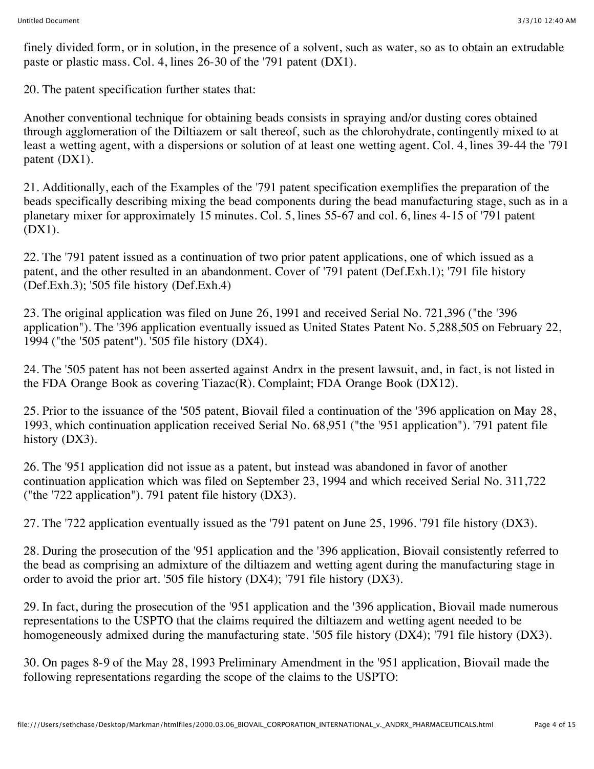finely divided form, or in solution, in the presence of a solvent, such as water, so as to obtain an extrudable paste or plastic mass. Col. 4, lines 26-30 of the '791 patent (DX1).

20. The patent specification further states that:

Another conventional technique for obtaining beads consists in spraying and/or dusting cores obtained through agglomeration of the Diltiazem or salt thereof, such as the chlorohydrate, contingently mixed to at least a wetting agent, with a dispersions or solution of at least one wetting agent. Col. 4, lines 39-44 the '791 patent (DX1).

21. Additionally, each of the Examples of the '791 patent specification exemplifies the preparation of the beads specifically describing mixing the bead components during the bead manufacturing stage, such as in a planetary mixer for approximately 15 minutes. Col. 5, lines 55-67 and col. 6, lines 4-15 of '791 patent (DX1).

22. The '791 patent issued as a continuation of two prior patent applications, one of which issued as a patent, and the other resulted in an abandonment. Cover of '791 patent (Def.Exh.1); '791 file history (Def.Exh.3); '505 file history (Def.Exh.4)

23. The original application was filed on June 26, 1991 and received Serial No. 721,396 ("the '396 application"). The '396 application eventually issued as United States Patent No. 5,288,505 on February 22, 1994 ("the '505 patent"). '505 file history (DX4).

24. The '505 patent has not been asserted against Andrx in the present lawsuit, and, in fact, is not listed in the FDA Orange Book as covering Tiazac(R). Complaint; FDA Orange Book (DX12).

25. Prior to the issuance of the '505 patent, Biovail filed a continuation of the '396 application on May 28, 1993, which continuation application received Serial No. 68,951 ("the '951 application"). '791 patent file history (DX3).

26. The '951 application did not issue as a patent, but instead was abandoned in favor of another continuation application which was filed on September 23, 1994 and which received Serial No. 311,722 ("the '722 application"). 791 patent file history (DX3).

27. The '722 application eventually issued as the '791 patent on June 25, 1996. '791 file history (DX3).

28. During the prosecution of the '951 application and the '396 application, Biovail consistently referred to the bead as comprising an admixture of the diltiazem and wetting agent during the manufacturing stage in order to avoid the prior art. '505 file history (DX4); '791 file history (DX3).

29. In fact, during the prosecution of the '951 application and the '396 application, Biovail made numerous representations to the USPTO that the claims required the diltiazem and wetting agent needed to be homogeneously admixed during the manufacturing state. '505 file history (DX4); '791 file history (DX3).

30. On pages 8-9 of the May 28, 1993 Preliminary Amendment in the '951 application, Biovail made the following representations regarding the scope of the claims to the USPTO: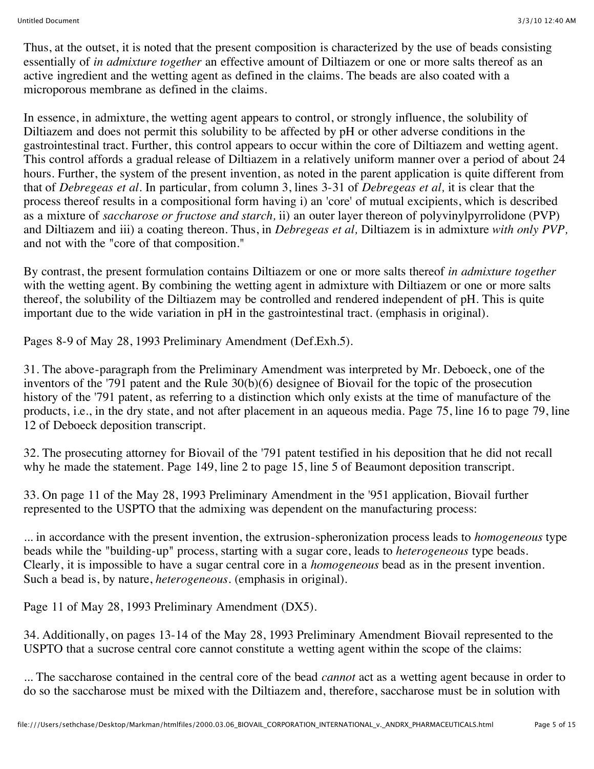Thus, at the outset, it is noted that the present composition is characterized by the use of beads consisting essentially of *in admixture together* an effective amount of Diltiazem or one or more salts thereof as an active ingredient and the wetting agent as defined in the claims. The beads are also coated with a microporous membrane as defined in the claims.

In essence, in admixture, the wetting agent appears to control, or strongly influence, the solubility of Diltiazem and does not permit this solubility to be affected by pH or other adverse conditions in the gastrointestinal tract. Further, this control appears to occur within the core of Diltiazem and wetting agent. This control affords a gradual release of Diltiazem in a relatively uniform manner over a period of about 24 hours. Further, the system of the present invention, as noted in the parent application is quite different from that of *Debregeas et al.* In particular, from column 3, lines 3-31 of *Debregeas et al,* it is clear that the process thereof results in a compositional form having i) an 'core' of mutual excipients, which is described as a mixture of *saccharose or fructose and starch,* ii) an outer layer thereon of polyvinylpyrrolidone (PVP) and Diltiazem and iii) a coating thereon. Thus, in *Debregeas et al,* Diltiazem is in admixture *with only PVP,* and not with the "core of that composition."

By contrast, the present formulation contains Diltiazem or one or more salts thereof *in admixture together* with the wetting agent. By combining the wetting agent in admixture with Diltiazem or one or more salts thereof, the solubility of the Diltiazem may be controlled and rendered independent of pH. This is quite important due to the wide variation in pH in the gastrointestinal tract. (emphasis in original).

Pages 8-9 of May 28, 1993 Preliminary Amendment (Def.Exh.5).

31. The above-paragraph from the Preliminary Amendment was interpreted by Mr. Deboeck, one of the inventors of the '791 patent and the Rule 30(b)(6) designee of Biovail for the topic of the prosecution history of the '791 patent, as referring to a distinction which only exists at the time of manufacture of the products, i.e., in the dry state, and not after placement in an aqueous media. Page 75, line 16 to page 79, line 12 of Deboeck deposition transcript.

32. The prosecuting attorney for Biovail of the '791 patent testified in his deposition that he did not recall why he made the statement. Page 149, line 2 to page 15, line 5 of Beaumont deposition transcript.

33. On page 11 of the May 28, 1993 Preliminary Amendment in the '951 application, Biovail further represented to the USPTO that the admixing was dependent on the manufacturing process:

... in accordance with the present invention, the extrusion-spheronization process leads to *homogeneous* type beads while the "building-up" process, starting with a sugar core, leads to *heterogeneous* type beads. Clearly, it is impossible to have a sugar central core in a *homogeneous* bead as in the present invention. Such a bead is, by nature, *heterogeneous.* (emphasis in original).

Page 11 of May 28, 1993 Preliminary Amendment (DX5).

34. Additionally, on pages 13-14 of the May 28, 1993 Preliminary Amendment Biovail represented to the USPTO that a sucrose central core cannot constitute a wetting agent within the scope of the claims:

... The saccharose contained in the central core of the bead *cannot* act as a wetting agent because in order to do so the saccharose must be mixed with the Diltiazem and, therefore, saccharose must be in solution with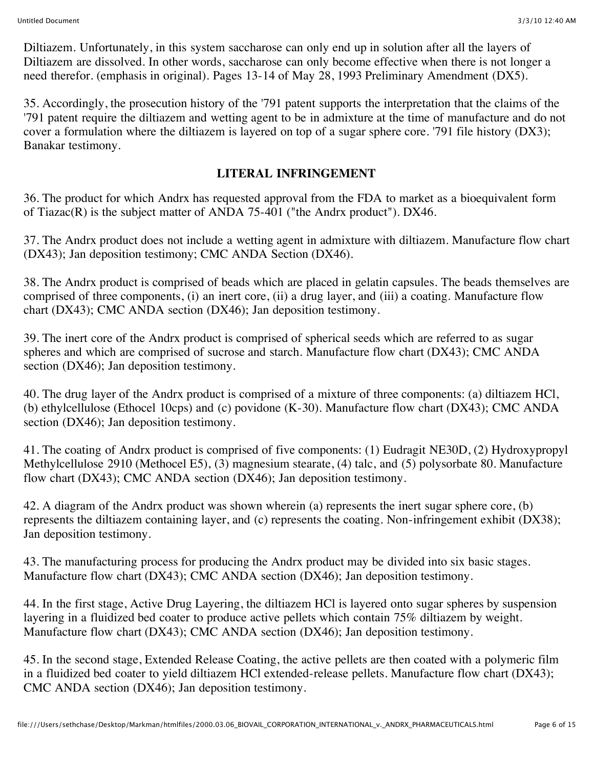Diltiazem. Unfortunately, in this system saccharose can only end up in solution after all the layers of Diltiazem are dissolved. In other words, saccharose can only become effective when there is not longer a need therefor. (emphasis in original). Pages 13-14 of May 28, 1993 Preliminary Amendment (DX5).

35. Accordingly, the prosecution history of the '791 patent supports the interpretation that the claims of the '791 patent require the diltiazem and wetting agent to be in admixture at the time of manufacture and do not cover a formulation where the diltiazem is layered on top of a sugar sphere core. '791 file history (DX3); Banakar testimony.

#### **LITERAL INFRINGEMENT**

36. The product for which Andrx has requested approval from the FDA to market as a bioequivalent form of Tiazac(R) is the subject matter of ANDA 75-401 ("the Andrx product"). DX46.

37. The Andrx product does not include a wetting agent in admixture with diltiazem. Manufacture flow chart (DX43); Jan deposition testimony; CMC ANDA Section (DX46).

38. The Andrx product is comprised of beads which are placed in gelatin capsules. The beads themselves are comprised of three components, (i) an inert core, (ii) a drug layer, and (iii) a coating. Manufacture flow chart (DX43); CMC ANDA section (DX46); Jan deposition testimony.

39. The inert core of the Andrx product is comprised of spherical seeds which are referred to as sugar spheres and which are comprised of sucrose and starch. Manufacture flow chart (DX43); CMC ANDA section (DX46); Jan deposition testimony.

40. The drug layer of the Andrx product is comprised of a mixture of three components: (a) diltiazem HCl, (b) ethylcellulose (Ethocel 10cps) and (c) povidone (K-30). Manufacture flow chart (DX43); CMC ANDA section (DX46); Jan deposition testimony.

41. The coating of Andrx product is comprised of five components: (1) Eudragit NE30D, (2) Hydroxypropyl Methylcellulose 2910 (Methocel E5), (3) magnesium stearate, (4) talc, and (5) polysorbate 80. Manufacture flow chart (DX43); CMC ANDA section (DX46); Jan deposition testimony.

42. A diagram of the Andrx product was shown wherein (a) represents the inert sugar sphere core, (b) represents the diltiazem containing layer, and (c) represents the coating. Non-infringement exhibit (DX38); Jan deposition testimony.

43. The manufacturing process for producing the Andrx product may be divided into six basic stages. Manufacture flow chart (DX43); CMC ANDA section (DX46); Jan deposition testimony.

44. In the first stage, Active Drug Layering, the diltiazem HCl is layered onto sugar spheres by suspension layering in a fluidized bed coater to produce active pellets which contain 75% diltiazem by weight. Manufacture flow chart (DX43); CMC ANDA section (DX46); Jan deposition testimony.

45. In the second stage, Extended Release Coating, the active pellets are then coated with a polymeric film in a fluidized bed coater to yield diltiazem HCl extended-release pellets. Manufacture flow chart (DX43); CMC ANDA section (DX46); Jan deposition testimony.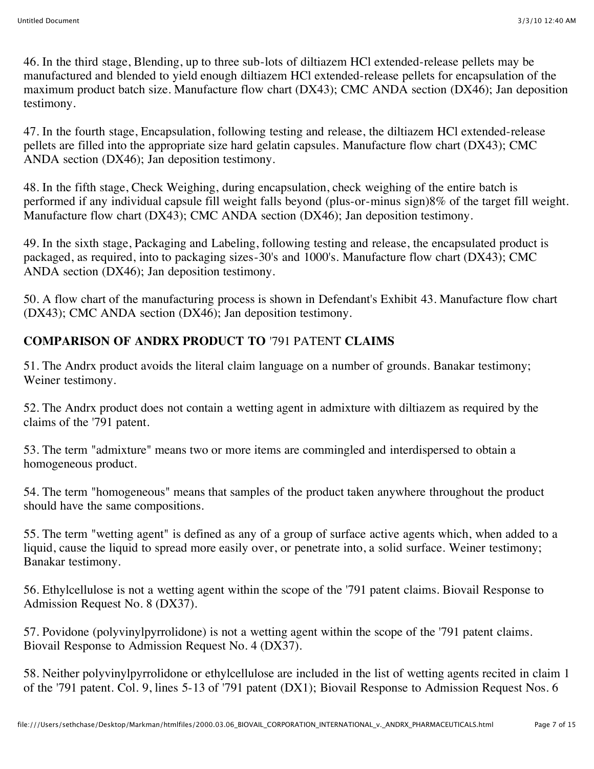46. In the third stage, Blending, up to three sub-lots of diltiazem HCl extended-release pellets may be manufactured and blended to yield enough diltiazem HCl extended-release pellets for encapsulation of the maximum product batch size. Manufacture flow chart (DX43); CMC ANDA section (DX46); Jan deposition testimony.

47. In the fourth stage, Encapsulation, following testing and release, the diltiazem HCl extended-release pellets are filled into the appropriate size hard gelatin capsules. Manufacture flow chart (DX43); CMC ANDA section (DX46); Jan deposition testimony.

48. In the fifth stage, Check Weighing, during encapsulation, check weighing of the entire batch is performed if any individual capsule fill weight falls beyond (plus-or-minus sign)8% of the target fill weight. Manufacture flow chart (DX43); CMC ANDA section (DX46); Jan deposition testimony.

49. In the sixth stage, Packaging and Labeling, following testing and release, the encapsulated product is packaged, as required, into to packaging sizes-30's and 1000's. Manufacture flow chart (DX43); CMC ANDA section (DX46); Jan deposition testimony.

50. A flow chart of the manufacturing process is shown in Defendant's Exhibit 43. Manufacture flow chart (DX43); CMC ANDA section (DX46); Jan deposition testimony.

# **COMPARISON OF ANDRX PRODUCT TO** '791 PATENT **CLAIMS**

51. The Andrx product avoids the literal claim language on a number of grounds. Banakar testimony; Weiner testimony.

52. The Andrx product does not contain a wetting agent in admixture with diltiazem as required by the claims of the '791 patent.

53. The term "admixture" means two or more items are commingled and interdispersed to obtain a homogeneous product.

54. The term "homogeneous" means that samples of the product taken anywhere throughout the product should have the same compositions.

55. The term "wetting agent" is defined as any of a group of surface active agents which, when added to a liquid, cause the liquid to spread more easily over, or penetrate into, a solid surface. Weiner testimony; Banakar testimony.

56. Ethylcellulose is not a wetting agent within the scope of the '791 patent claims. Biovail Response to Admission Request No. 8 (DX37).

57. Povidone (polyvinylpyrrolidone) is not a wetting agent within the scope of the '791 patent claims. Biovail Response to Admission Request No. 4 (DX37).

58. Neither polyvinylpyrrolidone or ethylcellulose are included in the list of wetting agents recited in claim 1 of the '791 patent. Col. 9, lines 5-13 of '791 patent (DX1); Biovail Response to Admission Request Nos. 6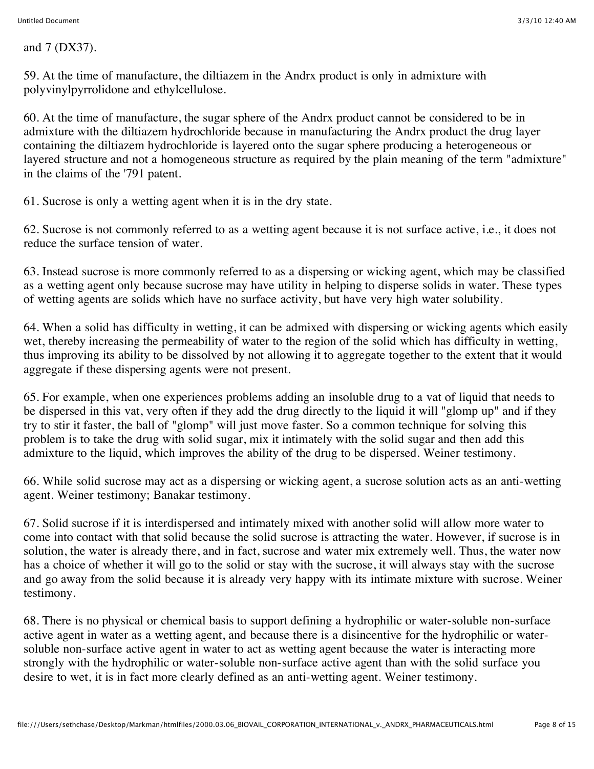and 7 (DX37).

59. At the time of manufacture, the diltiazem in the Andrx product is only in admixture with polyvinylpyrrolidone and ethylcellulose.

60. At the time of manufacture, the sugar sphere of the Andrx product cannot be considered to be in admixture with the diltiazem hydrochloride because in manufacturing the Andrx product the drug layer containing the diltiazem hydrochloride is layered onto the sugar sphere producing a heterogeneous or layered structure and not a homogeneous structure as required by the plain meaning of the term "admixture" in the claims of the '791 patent.

61. Sucrose is only a wetting agent when it is in the dry state.

62. Sucrose is not commonly referred to as a wetting agent because it is not surface active, i.e., it does not reduce the surface tension of water.

63. Instead sucrose is more commonly referred to as a dispersing or wicking agent, which may be classified as a wetting agent only because sucrose may have utility in helping to disperse solids in water. These types of wetting agents are solids which have no surface activity, but have very high water solubility.

64. When a solid has difficulty in wetting, it can be admixed with dispersing or wicking agents which easily wet, thereby increasing the permeability of water to the region of the solid which has difficulty in wetting, thus improving its ability to be dissolved by not allowing it to aggregate together to the extent that it would aggregate if these dispersing agents were not present.

65. For example, when one experiences problems adding an insoluble drug to a vat of liquid that needs to be dispersed in this vat, very often if they add the drug directly to the liquid it will "glomp up" and if they try to stir it faster, the ball of "glomp" will just move faster. So a common technique for solving this problem is to take the drug with solid sugar, mix it intimately with the solid sugar and then add this admixture to the liquid, which improves the ability of the drug to be dispersed. Weiner testimony.

66. While solid sucrose may act as a dispersing or wicking agent, a sucrose solution acts as an anti-wetting agent. Weiner testimony; Banakar testimony.

67. Solid sucrose if it is interdispersed and intimately mixed with another solid will allow more water to come into contact with that solid because the solid sucrose is attracting the water. However, if sucrose is in solution, the water is already there, and in fact, sucrose and water mix extremely well. Thus, the water now has a choice of whether it will go to the solid or stay with the sucrose, it will always stay with the sucrose and go away from the solid because it is already very happy with its intimate mixture with sucrose. Weiner testimony.

68. There is no physical or chemical basis to support defining a hydrophilic or water-soluble non-surface active agent in water as a wetting agent, and because there is a disincentive for the hydrophilic or watersoluble non-surface active agent in water to act as wetting agent because the water is interacting more strongly with the hydrophilic or water-soluble non-surface active agent than with the solid surface you desire to wet, it is in fact more clearly defined as an anti-wetting agent. Weiner testimony.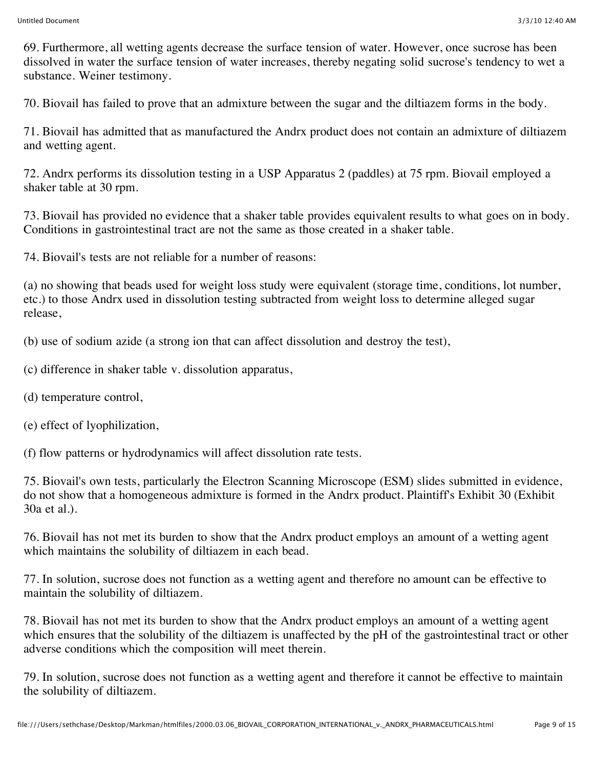69. Furthermore, all wetting agents decrease the surface tension of water. However, once sucrose has been dissolved in water the surface tension of water increases, thereby negating solid sucrose's tendency to wet a substance. Weiner testimony.

70. Biovail has failed to prove that an admixture between the sugar and the diltiazem forms in the body.

71. Biovail has admitted that as manufactured the Andrx product does not contain an admixture of diltiazem and wetting agent.

72. Andrx performs its dissolution testing in a USP Apparatus 2 (paddles) at 75 rpm. Biovail employed a shaker table at 30 rpm.

73. Biovail has provided no evidence that a shaker table provides equivalent results to what goes on in body. Conditions in gastrointestinal tract are not the same as those created in a shaker table.

74. Biovail's tests are not reliable for a number of reasons:

(a) no showing that beads used for weight loss study were equivalent (storage time, conditions, lot number, etc.) to those Andrx used in dissolution testing subtracted from weight loss to determine alleged sugar release,

(b) use of sodium azide (a strong ion that can affect dissolution and destroy the test),

(c) difference in shaker table v. dissolution apparatus,

(d) temperature control,

(e) effect of lyophilization,

(f) flow patterns or hydrodynamics will affect dissolution rate tests.

75. Biovail's own tests, particularly the Electron Scanning Microscope (ESM) slides submitted in evidence, do not show that a homogeneous admixture is formed in the Andrx product. Plaintiff's Exhibit 30 (Exhibit 30a et al.).

76. Biovail has not met its burden to show that the Andrx product employs an amount of a wetting agent which maintains the solubility of diltiazem in each bead.

77. In solution, sucrose does not function as a wetting agent and therefore no amount can be effective to maintain the solubility of diltiazem.

78. Biovail has not met its burden to show that the Andrx product employs an amount of a wetting agent which ensures that the solubility of the diltiazem is unaffected by the pH of the gastrointestinal tract or other adverse conditions which the composition will meet therein.

79. In solution, sucrose does not function as a wetting agent and therefore it cannot be effective to maintain the solubility of diltiazem.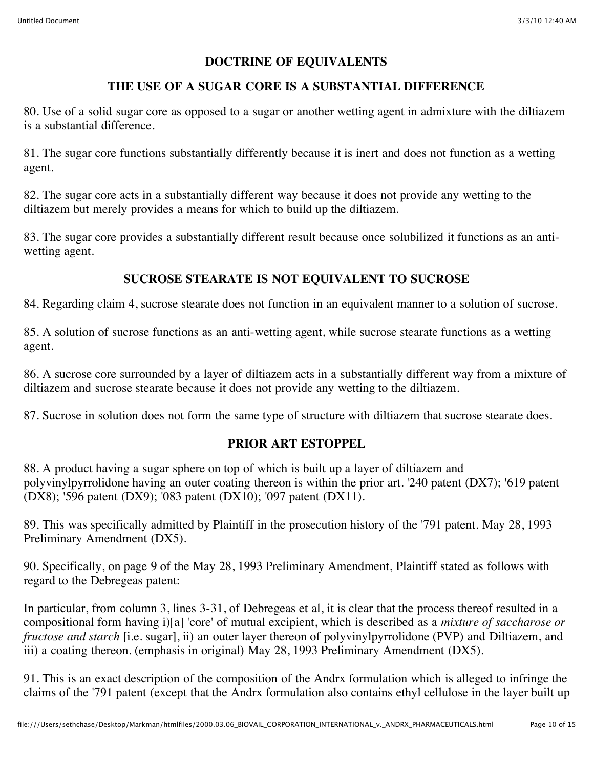#### **DOCTRINE OF EQUIVALENTS**

# **THE USE OF A SUGAR CORE IS A SUBSTANTIAL DIFFERENCE**

80. Use of a solid sugar core as opposed to a sugar or another wetting agent in admixture with the diltiazem is a substantial difference.

81. The sugar core functions substantially differently because it is inert and does not function as a wetting agent.

82. The sugar core acts in a substantially different way because it does not provide any wetting to the diltiazem but merely provides a means for which to build up the diltiazem.

83. The sugar core provides a substantially different result because once solubilized it functions as an antiwetting agent.

# **SUCROSE STEARATE IS NOT EQUIVALENT TO SUCROSE**

84. Regarding claim 4, sucrose stearate does not function in an equivalent manner to a solution of sucrose.

85. A solution of sucrose functions as an anti-wetting agent, while sucrose stearate functions as a wetting agent.

86. A sucrose core surrounded by a layer of diltiazem acts in a substantially different way from a mixture of diltiazem and sucrose stearate because it does not provide any wetting to the diltiazem.

87. Sucrose in solution does not form the same type of structure with diltiazem that sucrose stearate does.

# **PRIOR ART ESTOPPEL**

88. A product having a sugar sphere on top of which is built up a layer of diltiazem and polyvinylpyrrolidone having an outer coating thereon is within the prior art. '240 patent (DX7); '619 patent (DX8); '596 patent (DX9); '083 patent (DX10); '097 patent (DX11).

89. This was specifically admitted by Plaintiff in the prosecution history of the '791 patent. May 28, 1993 Preliminary Amendment (DX5).

90. Specifically, on page 9 of the May 28, 1993 Preliminary Amendment, Plaintiff stated as follows with regard to the Debregeas patent:

In particular, from column 3, lines 3-31, of Debregeas et al, it is clear that the process thereof resulted in a compositional form having i)[a] 'core' of mutual excipient, which is described as a *mixture of saccharose or fructose and starch* [i.e. sugar], ii) an outer layer thereon of polyvinylpyrrolidone (PVP) and Diltiazem, and iii) a coating thereon. (emphasis in original) May 28, 1993 Preliminary Amendment (DX5).

91. This is an exact description of the composition of the Andrx formulation which is alleged to infringe the claims of the '791 patent (except that the Andrx formulation also contains ethyl cellulose in the layer built up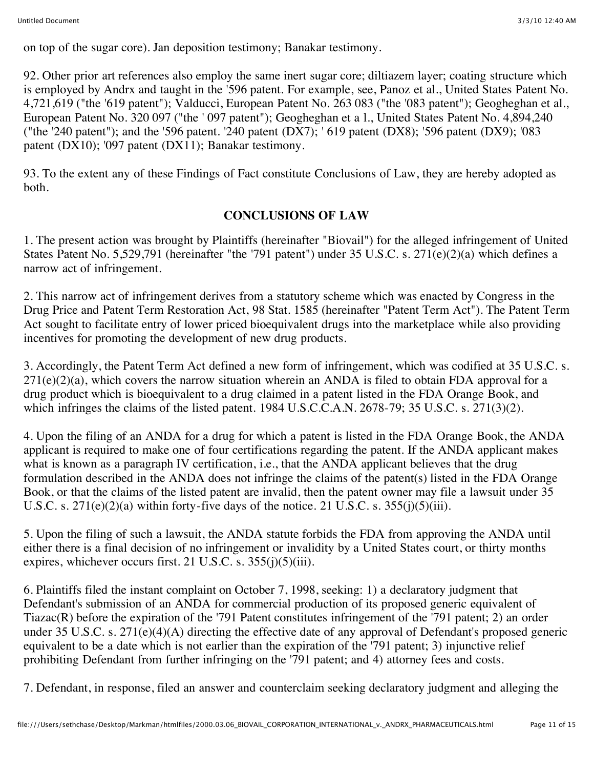on top of the sugar core). Jan deposition testimony; Banakar testimony.

92. Other prior art references also employ the same inert sugar core; diltiazem layer; coating structure which is employed by Andrx and taught in the '596 patent. For example, see, Panoz et al., United States Patent No. 4,721,619 ("the '619 patent"); Valducci, European Patent No. 263 083 ("the '083 patent"); Geogheghan et al., European Patent No. 320 097 ("the ' 097 patent"); Geogheghan et a l., United States Patent No. 4,894,240 ("the '240 patent"); and the '596 patent. '240 patent (DX7); ' 619 patent (DX8); '596 patent (DX9); '083 patent (DX10); '097 patent (DX11); Banakar testimony.

93. To the extent any of these Findings of Fact constitute Conclusions of Law, they are hereby adopted as both.

# **CONCLUSIONS OF LAW**

1. The present action was brought by Plaintiffs (hereinafter "Biovail") for the alleged infringement of United States Patent No. 5,529,791 (hereinafter "the '791 patent") under 35 U.S.C. s. 271(e)(2)(a) which defines a narrow act of infringement.

2. This narrow act of infringement derives from a statutory scheme which was enacted by Congress in the Drug Price and Patent Term Restoration Act, 98 Stat. 1585 (hereinafter "Patent Term Act"). The Patent Term Act sought to facilitate entry of lower priced bioequivalent drugs into the marketplace while also providing incentives for promoting the development of new drug products.

3. Accordingly, the Patent Term Act defined a new form of infringement, which was codified at 35 U.S.C. s.  $271(e)(2)(a)$ , which covers the narrow situation wherein an ANDA is filed to obtain FDA approval for a drug product which is bioequivalent to a drug claimed in a patent listed in the FDA Orange Book, and which infringes the claims of the listed patent. 1984 U.S.C.C.A.N. 2678-79; 35 U.S.C. s. 271(3)(2).

4. Upon the filing of an ANDA for a drug for which a patent is listed in the FDA Orange Book, the ANDA applicant is required to make one of four certifications regarding the patent. If the ANDA applicant makes what is known as a paragraph IV certification, i.e., that the ANDA applicant believes that the drug formulation described in the ANDA does not infringe the claims of the patent(s) listed in the FDA Orange Book, or that the claims of the listed patent are invalid, then the patent owner may file a lawsuit under 35 U.S.C. s.  $271(e)(2)(a)$  within forty-five days of the notice. 21 U.S.C. s.  $355(j)(5)(iii)$ .

5. Upon the filing of such a lawsuit, the ANDA statute forbids the FDA from approving the ANDA until either there is a final decision of no infringement or invalidity by a United States court, or thirty months expires, whichever occurs first. 21 U.S.C. s.  $355(j)(5)(iii)$ .

6. Plaintiffs filed the instant complaint on October 7, 1998, seeking: 1) a declaratory judgment that Defendant's submission of an ANDA for commercial production of its proposed generic equivalent of Tiazac(R) before the expiration of the '791 Patent constitutes infringement of the '791 patent; 2) an order under 35 U.S.C. s. 271(e)(4)(A) directing the effective date of any approval of Defendant's proposed generic equivalent to be a date which is not earlier than the expiration of the '791 patent; 3) injunctive relief prohibiting Defendant from further infringing on the '791 patent; and 4) attorney fees and costs.

7. Defendant, in response, filed an answer and counterclaim seeking declaratory judgment and alleging the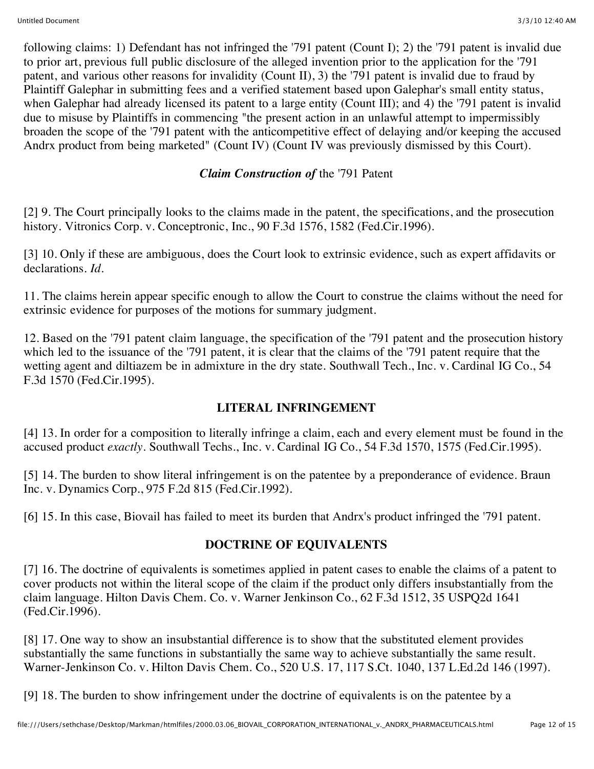following claims: 1) Defendant has not infringed the '791 patent (Count I); 2) the '791 patent is invalid due to prior art, previous full public disclosure of the alleged invention prior to the application for the '791 patent, and various other reasons for invalidity (Count II), 3) the '791 patent is invalid due to fraud by Plaintiff Galephar in submitting fees and a verified statement based upon Galephar's small entity status, when Galephar had already licensed its patent to a large entity (Count III); and 4) the '791 patent is invalid due to misuse by Plaintiffs in commencing "the present action in an unlawful attempt to impermissibly broaden the scope of the '791 patent with the anticompetitive effect of delaying and/or keeping the accused Andrx product from being marketed" (Count IV) (Count IV was previously dismissed by this Court).

# *Claim Construction of* the '791 Patent

[2] 9. The Court principally looks to the claims made in the patent, the specifications, and the prosecution history. Vitronics Corp. v. Conceptronic, Inc., 90 F.3d 1576, 1582 (Fed.Cir.1996).

[3] 10. Only if these are ambiguous, does the Court look to extrinsic evidence, such as expert affidavits or declarations. *Id.*

11. The claims herein appear specific enough to allow the Court to construe the claims without the need for extrinsic evidence for purposes of the motions for summary judgment.

12. Based on the '791 patent claim language, the specification of the '791 patent and the prosecution history which led to the issuance of the '791 patent, it is clear that the claims of the '791 patent require that the wetting agent and diltiazem be in admixture in the dry state. Southwall Tech., Inc. v. Cardinal IG Co., 54 F.3d 1570 (Fed.Cir.1995).

#### **LITERAL INFRINGEMENT**

[4] 13. In order for a composition to literally infringe a claim, each and every element must be found in the accused product *exactly.* Southwall Techs., Inc. v. Cardinal IG Co., 54 F.3d 1570, 1575 (Fed.Cir.1995).

[5] 14. The burden to show literal infringement is on the patentee by a preponderance of evidence. Braun Inc. v. Dynamics Corp., 975 F.2d 815 (Fed.Cir.1992).

[6] 15. In this case, Biovail has failed to meet its burden that Andrx's product infringed the '791 patent.

# **DOCTRINE OF EQUIVALENTS**

[7] 16. The doctrine of equivalents is sometimes applied in patent cases to enable the claims of a patent to cover products not within the literal scope of the claim if the product only differs insubstantially from the claim language. Hilton Davis Chem. Co. v. Warner Jenkinson Co., 62 F.3d 1512, 35 USPQ2d 1641 (Fed.Cir.1996).

[8] 17. One way to show an insubstantial difference is to show that the substituted element provides substantially the same functions in substantially the same way to achieve substantially the same result. Warner-Jenkinson Co. v. Hilton Davis Chem. Co., 520 U.S. 17, 117 S.Ct. 1040, 137 L.Ed.2d 146 (1997).

[9] 18. The burden to show infringement under the doctrine of equivalents is on the patentee by a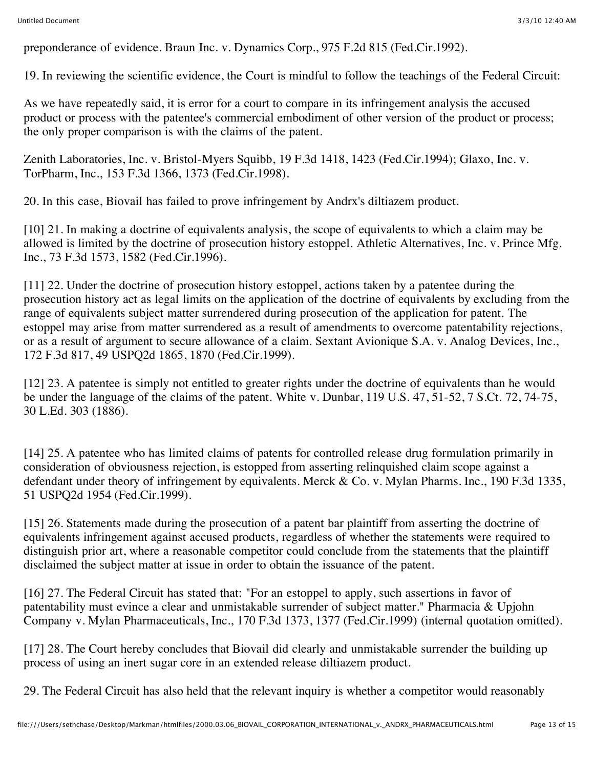preponderance of evidence. Braun Inc. v. Dynamics Corp., 975 F.2d 815 (Fed.Cir.1992).

19. In reviewing the scientific evidence, the Court is mindful to follow the teachings of the Federal Circuit:

As we have repeatedly said, it is error for a court to compare in its infringement analysis the accused product or process with the patentee's commercial embodiment of other version of the product or process; the only proper comparison is with the claims of the patent.

Zenith Laboratories, Inc. v. Bristol-Myers Squibb, 19 F.3d 1418, 1423 (Fed.Cir.1994); Glaxo, Inc. v. TorPharm, Inc., 153 F.3d 1366, 1373 (Fed.Cir.1998).

20. In this case, Biovail has failed to prove infringement by Andrx's diltiazem product.

[10] 21. In making a doctrine of equivalents analysis, the scope of equivalents to which a claim may be allowed is limited by the doctrine of prosecution history estoppel. Athletic Alternatives, Inc. v. Prince Mfg. Inc., 73 F.3d 1573, 1582 (Fed.Cir.1996).

[11] 22. Under the doctrine of prosecution history estoppel, actions taken by a patentee during the prosecution history act as legal limits on the application of the doctrine of equivalents by excluding from the range of equivalents subject matter surrendered during prosecution of the application for patent. The estoppel may arise from matter surrendered as a result of amendments to overcome patentability rejections, or as a result of argument to secure allowance of a claim. Sextant Avionique S.A. v. Analog Devices, Inc., 172 F.3d 817, 49 USPQ2d 1865, 1870 (Fed.Cir.1999).

[12] 23. A patentee is simply not entitled to greater rights under the doctrine of equivalents than he would be under the language of the claims of the patent. White v. Dunbar, 119 U.S. 47, 51-52, 7 S.Ct. 72, 74-75, 30 L.Ed. 303 (1886).

[14] 25. A patentee who has limited claims of patents for controlled release drug formulation primarily in consideration of obviousness rejection, is estopped from asserting relinquished claim scope against a defendant under theory of infringement by equivalents. Merck & Co. v. Mylan Pharms. Inc., 190 F.3d 1335, 51 USPQ2d 1954 (Fed.Cir.1999).

[15] 26. Statements made during the prosecution of a patent bar plaintiff from asserting the doctrine of equivalents infringement against accused products, regardless of whether the statements were required to distinguish prior art, where a reasonable competitor could conclude from the statements that the plaintiff disclaimed the subject matter at issue in order to obtain the issuance of the patent.

[16] 27. The Federal Circuit has stated that: "For an estoppel to apply, such assertions in favor of patentability must evince a clear and unmistakable surrender of subject matter." Pharmacia & Upjohn Company v. Mylan Pharmaceuticals, Inc., 170 F.3d 1373, 1377 (Fed.Cir.1999) (internal quotation omitted).

[17] 28. The Court hereby concludes that Biovail did clearly and unmistakable surrender the building up process of using an inert sugar core in an extended release diltiazem product.

29. The Federal Circuit has also held that the relevant inquiry is whether a competitor would reasonably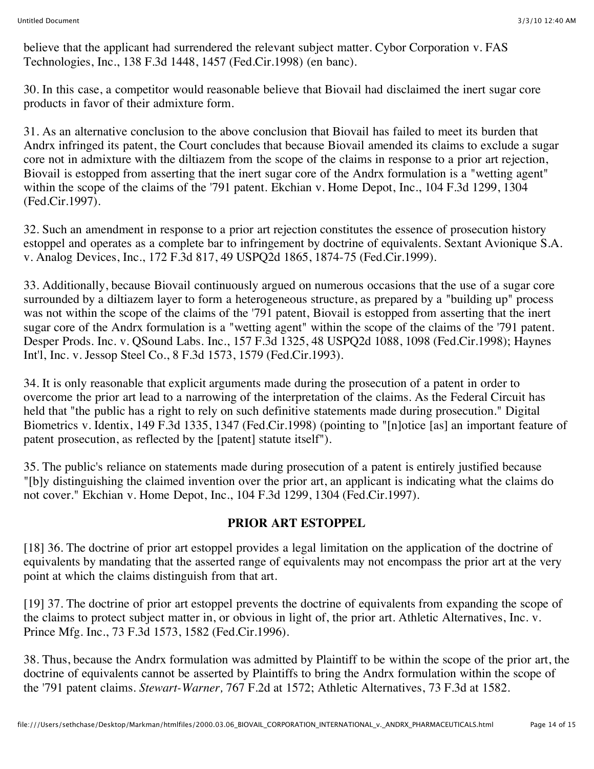believe that the applicant had surrendered the relevant subject matter. Cybor Corporation v. FAS Technologies, Inc., 138 F.3d 1448, 1457 (Fed.Cir.1998) (en banc).

30. In this case, a competitor would reasonable believe that Biovail had disclaimed the inert sugar core products in favor of their admixture form.

31. As an alternative conclusion to the above conclusion that Biovail has failed to meet its burden that Andrx infringed its patent, the Court concludes that because Biovail amended its claims to exclude a sugar core not in admixture with the diltiazem from the scope of the claims in response to a prior art rejection, Biovail is estopped from asserting that the inert sugar core of the Andrx formulation is a "wetting agent" within the scope of the claims of the '791 patent. Ekchian v. Home Depot, Inc., 104 F.3d 1299, 1304 (Fed.Cir.1997).

32. Such an amendment in response to a prior art rejection constitutes the essence of prosecution history estoppel and operates as a complete bar to infringement by doctrine of equivalents. Sextant Avionique S.A. v. Analog Devices, Inc., 172 F.3d 817, 49 USPQ2d 1865, 1874-75 (Fed.Cir.1999).

33. Additionally, because Biovail continuously argued on numerous occasions that the use of a sugar core surrounded by a diltiazem layer to form a heterogeneous structure, as prepared by a "building up" process was not within the scope of the claims of the '791 patent, Biovail is estopped from asserting that the inert sugar core of the Andrx formulation is a "wetting agent" within the scope of the claims of the '791 patent. Desper Prods. Inc. v. QSound Labs. Inc., 157 F.3d 1325, 48 USPQ2d 1088, 1098 (Fed.Cir.1998); Haynes Int'l, Inc. v. Jessop Steel Co., 8 F.3d 1573, 1579 (Fed.Cir.1993).

34. It is only reasonable that explicit arguments made during the prosecution of a patent in order to overcome the prior art lead to a narrowing of the interpretation of the claims. As the Federal Circuit has held that "the public has a right to rely on such definitive statements made during prosecution." Digital Biometrics v. Identix, 149 F.3d 1335, 1347 (Fed.Cir.1998) (pointing to "[n]otice [as] an important feature of patent prosecution, as reflected by the [patent] statute itself").

35. The public's reliance on statements made during prosecution of a patent is entirely justified because "[b]y distinguishing the claimed invention over the prior art, an applicant is indicating what the claims do not cover." Ekchian v. Home Depot, Inc., 104 F.3d 1299, 1304 (Fed.Cir.1997).

# **PRIOR ART ESTOPPEL**

[18] 36. The doctrine of prior art estoppel provides a legal limitation on the application of the doctrine of equivalents by mandating that the asserted range of equivalents may not encompass the prior art at the very point at which the claims distinguish from that art.

[19] 37. The doctrine of prior art estoppel prevents the doctrine of equivalents from expanding the scope of the claims to protect subject matter in, or obvious in light of, the prior art. Athletic Alternatives, Inc. v. Prince Mfg. Inc., 73 F.3d 1573, 1582 (Fed.Cir.1996).

38. Thus, because the Andrx formulation was admitted by Plaintiff to be within the scope of the prior art, the doctrine of equivalents cannot be asserted by Plaintiffs to bring the Andrx formulation within the scope of the '791 patent claims. *Stewart-Warner,* 767 F.2d at 1572; Athletic Alternatives, 73 F.3d at 1582.